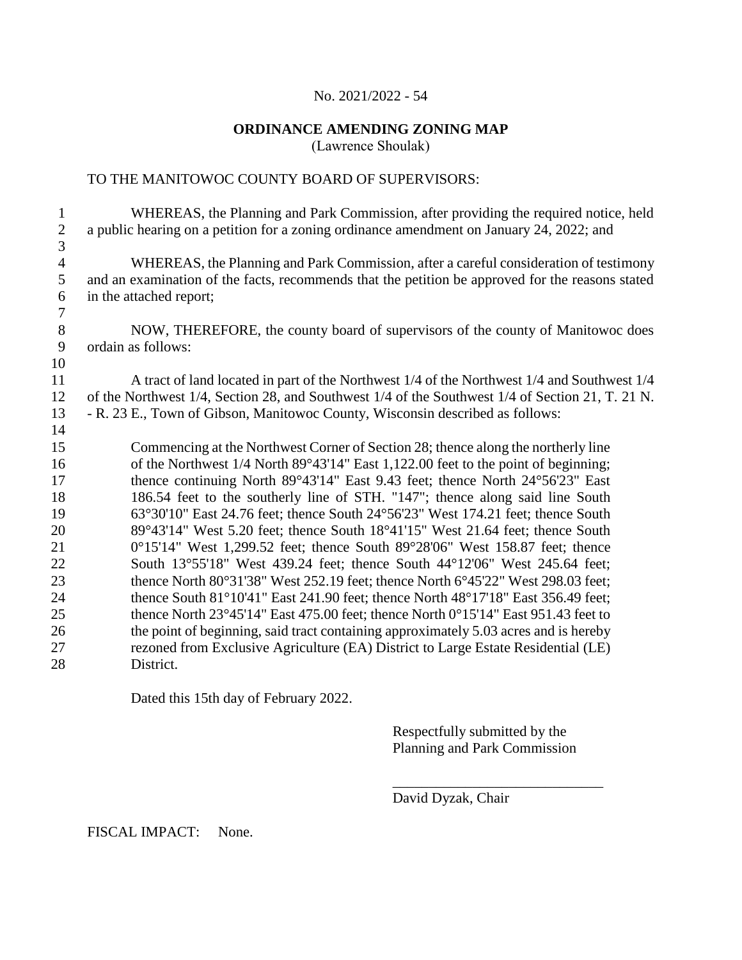# **ORDINANCE AMENDING ZONING MAP**

(Lawrence Shoulak)

# TO THE MANITOWOC COUNTY BOARD OF SUPERVISORS:

| 1<br>$\mathfrak{2}$ | WHEREAS, the Planning and Park Commission, after providing the required notice, held<br>a public hearing on a petition for a zoning ordinance amendment on January 24, 2022; and |
|---------------------|----------------------------------------------------------------------------------------------------------------------------------------------------------------------------------|
| 3                   |                                                                                                                                                                                  |
| $\overline{4}$      | WHEREAS, the Planning and Park Commission, after a careful consideration of testimony                                                                                            |
| 5                   | and an examination of the facts, recommends that the petition be approved for the reasons stated                                                                                 |
| 6                   | in the attached report;                                                                                                                                                          |
| 7                   |                                                                                                                                                                                  |
| $8\,$               | NOW, THEREFORE, the county board of supervisors of the county of Manitowoc does                                                                                                  |
| 9                   | ordain as follows:                                                                                                                                                               |
| 10                  |                                                                                                                                                                                  |
| 11                  | A tract of land located in part of the Northwest 1/4 of the Northwest 1/4 and Southwest 1/4                                                                                      |
| 12                  | of the Northwest 1/4, Section 28, and Southwest 1/4 of the Southwest 1/4 of Section 21, T. 21 N.                                                                                 |
| 13                  | - R. 23 E., Town of Gibson, Manitowoc County, Wisconsin described as follows:                                                                                                    |
| 14                  |                                                                                                                                                                                  |
| 15                  | Commencing at the Northwest Corner of Section 28; thence along the northerly line                                                                                                |
| 16                  | of the Northwest 1/4 North 89°43'14" East 1,122.00 feet to the point of beginning;                                                                                               |
| 17                  | thence continuing North 89°43'14" East 9.43 feet; thence North 24°56'23" East                                                                                                    |
| 18                  | 186.54 feet to the southerly line of STH. "147"; thence along said line South                                                                                                    |
| 19                  | 63°30'10" East 24.76 feet; thence South 24°56'23" West 174.21 feet; thence South                                                                                                 |
| 20                  | 89°43'14" West 5.20 feet; thence South 18°41'15" West 21.64 feet; thence South                                                                                                   |
| 21                  | 0°15'14" West 1,299.52 feet; thence South 89°28'06" West 158.87 feet; thence<br>South 13°55'18" West 439.24 feet; thence South 44°12'06" West 245.64 feet;                       |
| 22<br>23            | thence North 80°31'38" West 252.19 feet; thence North 6°45'22" West 298.03 feet;                                                                                                 |
| 24                  | thence South $81^{\circ}10'41''$ East 241.90 feet; thence North 48°17'18" East 356.49 feet;                                                                                      |
| 25                  | thence North 23°45'14" East 475.00 feet; thence North 0°15'14" East 951.43 feet to                                                                                               |
| 26                  | the point of beginning, said tract containing approximately 5.03 acres and is hereby                                                                                             |
| 27                  | rezoned from Exclusive Agriculture (EA) District to Large Estate Residential (LE)                                                                                                |
| 28                  | District.                                                                                                                                                                        |
|                     |                                                                                                                                                                                  |

Dated this 15th day of February 2022.

Respectfully submitted by the Planning and Park Commission

\_\_\_\_\_\_\_\_\_\_\_\_\_\_\_\_\_\_\_\_\_\_\_\_\_\_\_\_\_ David Dyzak, Chair

FISCAL IMPACT: None.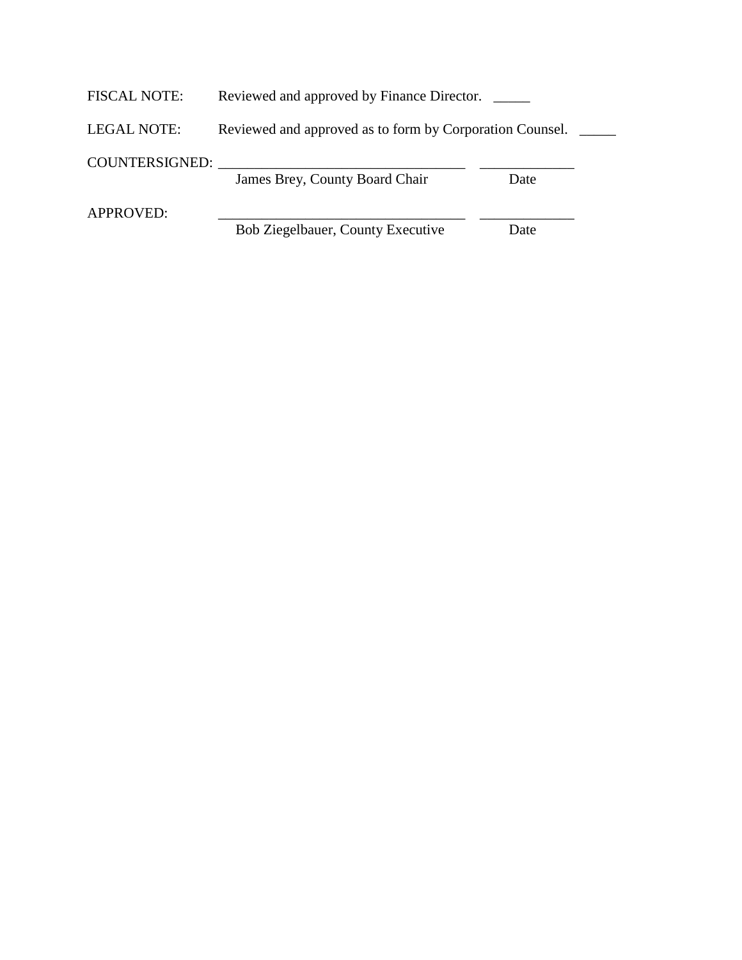| <b>FISCAL NOTE:</b> | Reviewed and approved by Finance Director.               |      |  |
|---------------------|----------------------------------------------------------|------|--|
| LEGAL NOTE:         | Reviewed and approved as to form by Corporation Counsel. |      |  |
| COUNTERSIGNED:      |                                                          |      |  |
|                     | James Brey, County Board Chair                           | Date |  |
| <b>APPROVED:</b>    |                                                          |      |  |
|                     | Bob Ziegelbauer, County Executive                        | Date |  |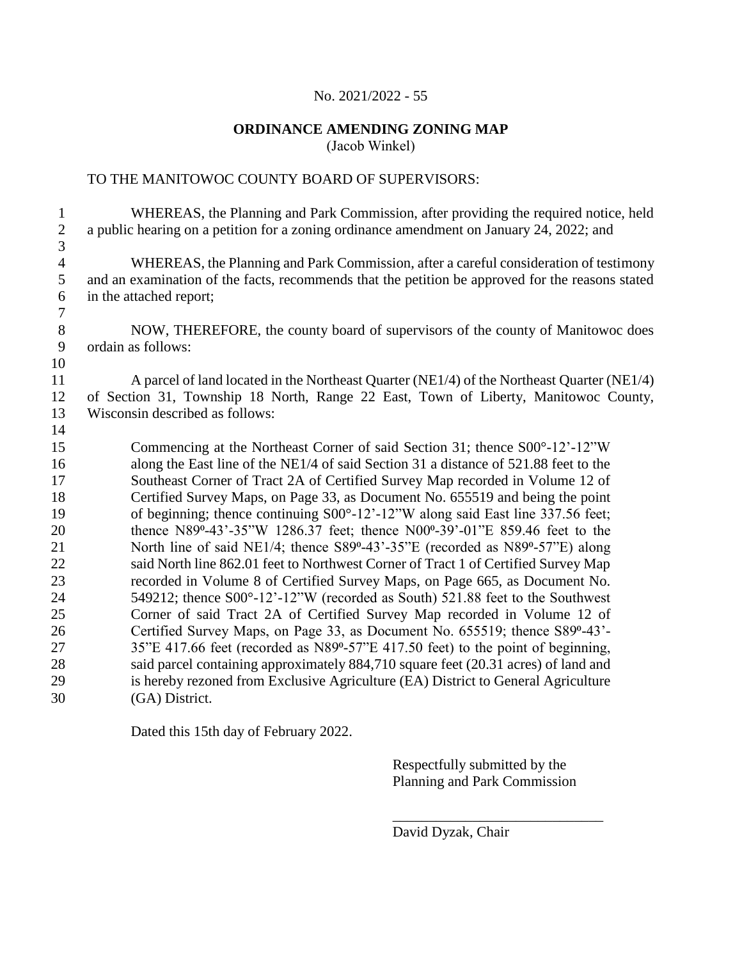#### **ORDINANCE AMENDING ZONING MAP** (Jacob Winkel)

#### TO THE MANITOWOC COUNTY BOARD OF SUPERVISORS:

 WHEREAS, the Planning and Park Commission, after providing the required notice, held a public hearing on a petition for a zoning ordinance amendment on January 24, 2022; and WHEREAS, the Planning and Park Commission, after a careful consideration of testimony and an examination of the facts, recommends that the petition be approved for the reasons stated in the attached report; 8 NOW, THEREFORE, the county board of supervisors of the county of Manitowoc does ordain as follows: A parcel of land located in the Northeast Quarter (NE1/4) of the Northeast Quarter (NE1/4) of Section 31, Township 18 North, Range 22 East, Town of Liberty, Manitowoc County, Wisconsin described as follows: Commencing at the Northeast Corner of said Section 31; thence S00°-12'-12"W along the East line of the NE1/4 of said Section 31 a distance of 521.88 feet to the Southeast Corner of Tract 2A of Certified Survey Map recorded in Volume 12 of Certified Survey Maps, on Page 33, as Document No. 655519 and being the point of beginning; thence continuing S00°-12'-12"W along said East line 337.56 feet; 20 thence N89°-43'-35"W 1286.37 feet; thence N00°-39'-01"E 859.46 feet to the 21 North line of said NE1/4; thence S89°-43'-35"E (recorded as N89°-57"E) along said North line 862.01 feet to Northwest Corner of Tract 1 of Certified Survey Map recorded in Volume 8 of Certified Survey Maps, on Page 665, as Document No. 549212; thence S00°-12'-12"W (recorded as South) 521.88 feet to the Southwest Corner of said Tract 2A of Certified Survey Map recorded in Volume 12 of 26 Certified Survey Maps, on Page 33, as Document No. 655519; thence S89°-43'-27 35"E 417.66 feet (recorded as N89°-57"E 417.50 feet) to the point of beginning, said parcel containing approximately 884,710 square feet (20.31 acres) of land and is hereby rezoned from Exclusive Agriculture (EA) District to General Agriculture (GA) District.

Dated this 15th day of February 2022.

Respectfully submitted by the Planning and Park Commission

\_\_\_\_\_\_\_\_\_\_\_\_\_\_\_\_\_\_\_\_\_\_\_\_\_\_\_\_\_

David Dyzak, Chair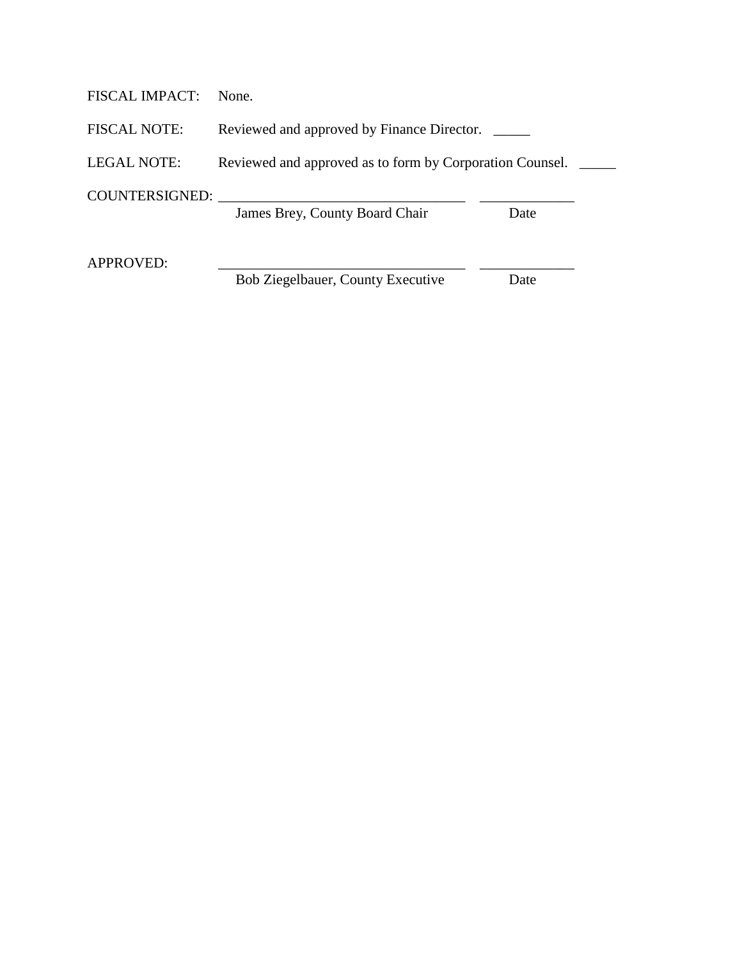| <b>FISCAL IMPACT:</b> | None.                                                    |      |  |
|-----------------------|----------------------------------------------------------|------|--|
| <b>FISCAL NOTE:</b>   | Reviewed and approved by Finance Director.               |      |  |
| <b>LEGAL NOTE:</b>    | Reviewed and approved as to form by Corporation Counsel. |      |  |
| COUNTERSIGNED:        | James Brey, County Board Chair                           | Date |  |
| APPROVED:             | Bob Ziegelbauer, County Executive                        | Date |  |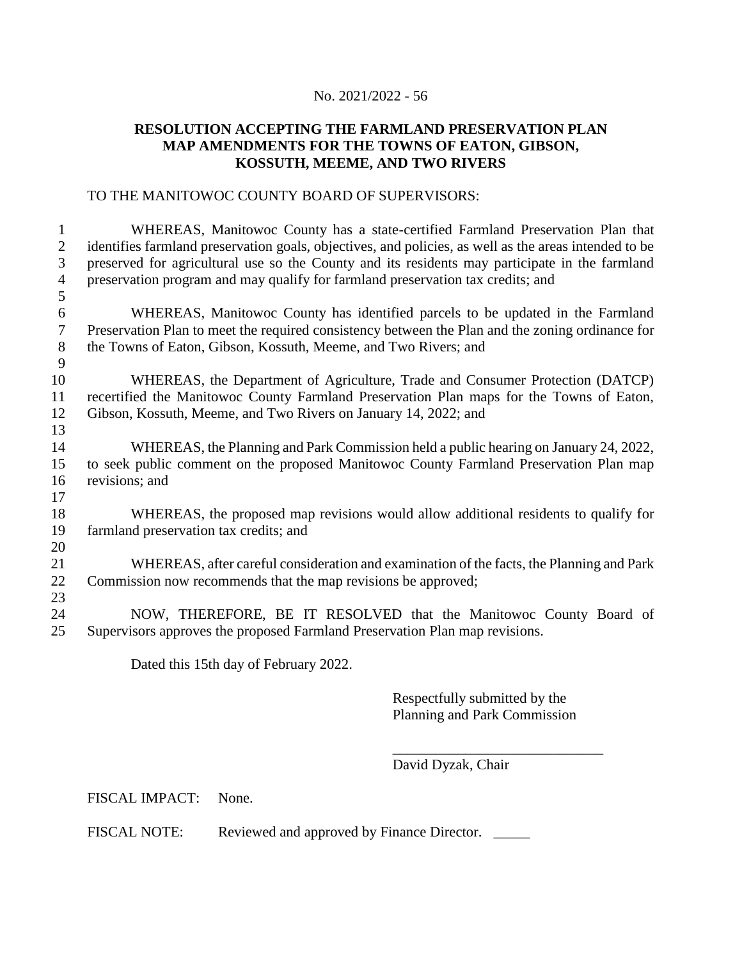### **RESOLUTION ACCEPTING THE FARMLAND PRESERVATION PLAN MAP AMENDMENTS FOR THE TOWNS OF EATON, GIBSON, KOSSUTH, MEEME, AND TWO RIVERS**

#### TO THE MANITOWOC COUNTY BOARD OF SUPERVISORS:

 WHEREAS, Manitowoc County has a state-certified Farmland Preservation Plan that identifies farmland preservation goals, objectives, and policies, as well as the areas intended to be preserved for agricultural use so the County and its residents may participate in the farmland preservation program and may qualify for farmland preservation tax credits; and 

 WHEREAS, Manitowoc County has identified parcels to be updated in the Farmland Preservation Plan to meet the required consistency between the Plan and the zoning ordinance for the Towns of Eaton, Gibson, Kossuth, Meeme, and Two Rivers; and

 WHEREAS, the Department of Agriculture, Trade and Consumer Protection (DATCP) recertified the Manitowoc County Farmland Preservation Plan maps for the Towns of Eaton, Gibson, Kossuth, Meeme, and Two Rivers on January 14, 2022; and

 WHEREAS, the Planning and Park Commission held a public hearing on January 24, 2022, to seek public comment on the proposed Manitowoc County Farmland Preservation Plan map revisions; and

 WHEREAS, the proposed map revisions would allow additional residents to qualify for farmland preservation tax credits; and 

 WHEREAS, after careful consideration and examination of the facts, the Planning and Park Commission now recommends that the map revisions be approved;

 NOW, THEREFORE, BE IT RESOLVED that the Manitowoc County Board of Supervisors approves the proposed Farmland Preservation Plan map revisions.

Dated this 15th day of February 2022.

Respectfully submitted by the Planning and Park Commission

\_\_\_\_\_\_\_\_\_\_\_\_\_\_\_\_\_\_\_\_\_\_\_\_\_\_\_\_\_

David Dyzak, Chair

FISCAL IMPACT: None.

FISCAL NOTE: Reviewed and approved by Finance Director.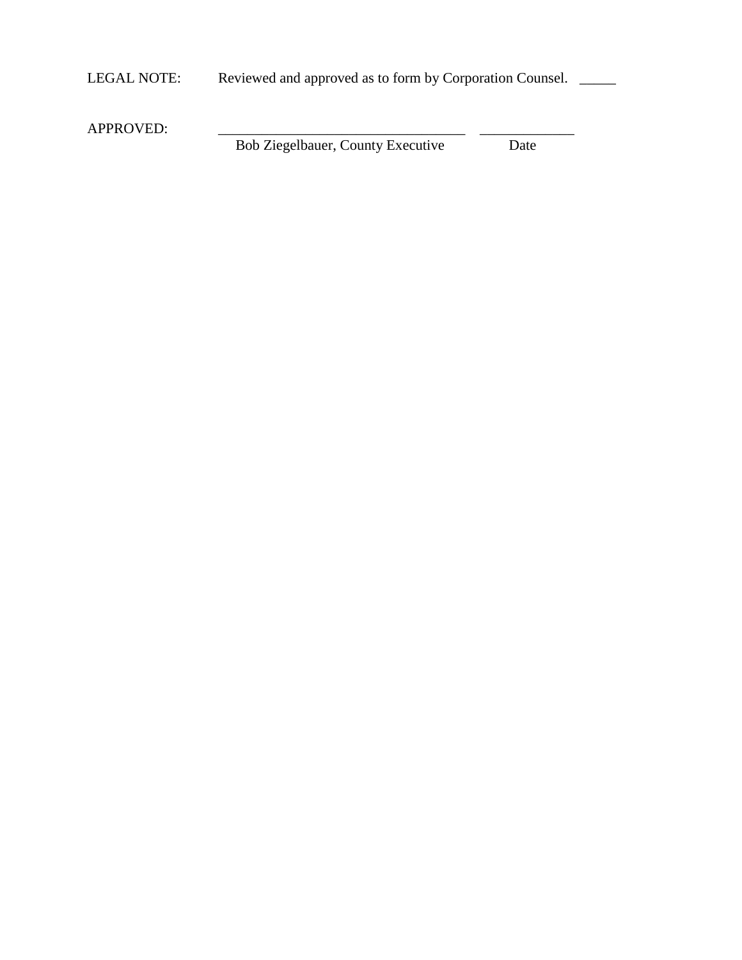LEGAL NOTE: Reviewed and approved as to form by Corporation Counsel.

APPROVED: Bob Ziegelbauer, County Executive Date Bob Ziegelbauer, County Executive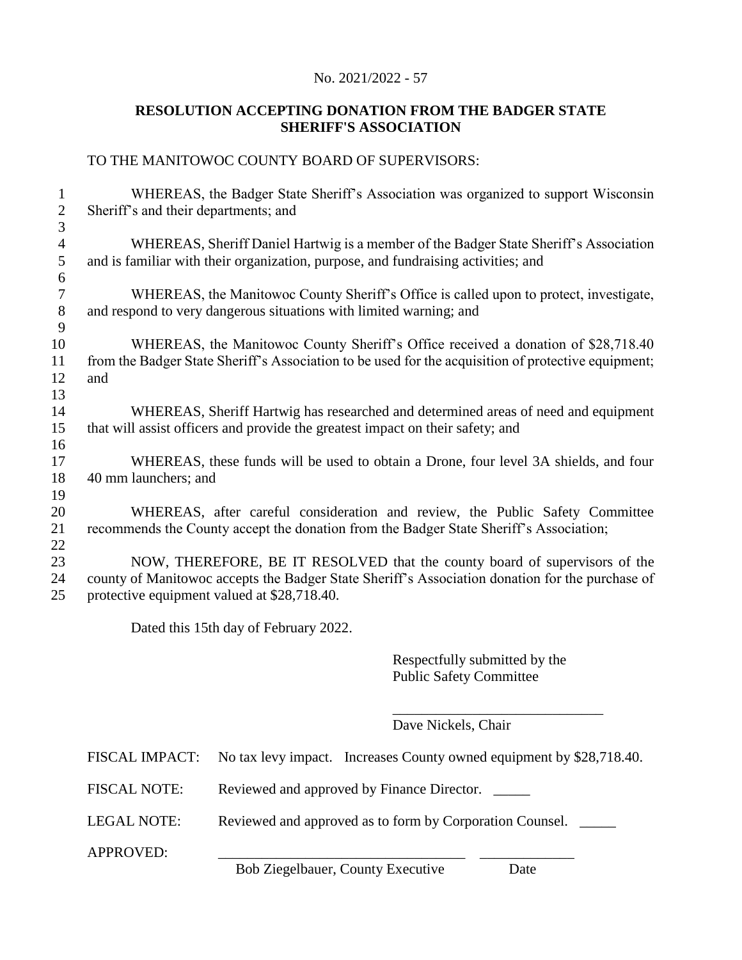# **RESOLUTION ACCEPTING DONATION FROM THE BADGER STATE SHERIFF'S ASSOCIATION**

# TO THE MANITOWOC COUNTY BOARD OF SUPERVISORS:

| 1              | WHEREAS, the Badger State Sheriff's Association was organized to support Wisconsin                  |
|----------------|-----------------------------------------------------------------------------------------------------|
| $\overline{2}$ | Sheriff's and their departments; and                                                                |
| 3              |                                                                                                     |
| $\overline{4}$ | WHEREAS, Sheriff Daniel Hartwig is a member of the Badger State Sheriff's Association               |
| 5              | and is familiar with their organization, purpose, and fundraising activities; and                   |
| 6              |                                                                                                     |
| $\tau$         | WHEREAS, the Manitowoc County Sheriff's Office is called upon to protect, investigate,              |
| 8              | and respond to very dangerous situations with limited warning; and                                  |
| 9              |                                                                                                     |
| 10             | WHEREAS, the Manitowoc County Sheriff's Office received a donation of \$28,718.40                   |
| 11             | from the Badger State Sheriff's Association to be used for the acquisition of protective equipment; |
| 12             | and                                                                                                 |
| 13             |                                                                                                     |
| 14             | WHEREAS, Sheriff Hartwig has researched and determined areas of need and equipment                  |
| 15             | that will assist officers and provide the greatest impact on their safety; and                      |
| 16             |                                                                                                     |
| 17             | WHEREAS, these funds will be used to obtain a Drone, four level 3A shields, and four                |
| 18             | 40 mm launchers; and                                                                                |
| 19             |                                                                                                     |
| 20             | WHEREAS, after careful consideration and review, the Public Safety Committee                        |
| 21             | recommends the County accept the donation from the Badger State Sheriff's Association;              |
| 22             |                                                                                                     |
| 23             | NOW, THEREFORE, BE IT RESOLVED that the county board of supervisors of the                          |
| 24             | county of Manitowoc accepts the Badger State Sheriff's Association donation for the purchase of     |
| 25             | protective equipment valued at \$28,718.40.                                                         |
|                |                                                                                                     |

Dated this 15th day of February 2022.

Respectfully submitted by the Public Safety Committee

\_\_\_\_\_\_\_\_\_\_\_\_\_\_\_\_\_\_\_\_\_\_\_\_\_\_\_\_\_

Dave Nickels, Chair

|                     | FISCAL IMPACT: No tax levy impact. Increases County owned equipment by \$28,718.40. |
|---------------------|-------------------------------------------------------------------------------------|
| <b>FISCAL NOTE:</b> | Reviewed and approved by Finance Director.                                          |
| LEGAL NOTE:         | Reviewed and approved as to form by Corporation Counsel.                            |
| <b>APPROVED:</b>    | $\mathbf{D} + \mathbf{Z}^* = \mathbf{H}$ $\mathbf{C} + \mathbf{F}$ $\mathbf{C}$     |

Bob Ziegelbauer, County Executive Date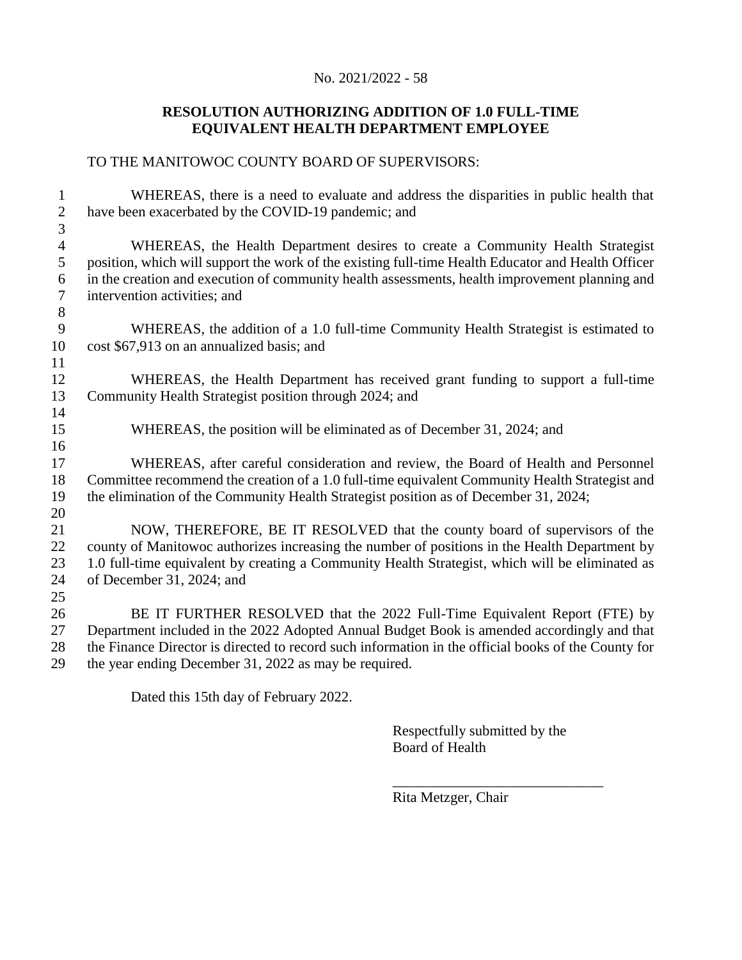# **RESOLUTION AUTHORIZING ADDITION OF 1.0 FULL-TIME EQUIVALENT HEALTH DEPARTMENT EMPLOYEE**

# TO THE MANITOWOC COUNTY BOARD OF SUPERVISORS:

| 1                   | WHEREAS, there is a need to evaluate and address the disparities in public health that                                                                                                            |
|---------------------|---------------------------------------------------------------------------------------------------------------------------------------------------------------------------------------------------|
| $\overline{2}$      | have been exacerbated by the COVID-19 pandemic; and                                                                                                                                               |
| $\mathfrak{Z}$      |                                                                                                                                                                                                   |
| $\overline{4}$      | WHEREAS, the Health Department desires to create a Community Health Strategist                                                                                                                    |
| 5                   | position, which will support the work of the existing full-time Health Educator and Health Officer                                                                                                |
| 6<br>$\overline{7}$ | in the creation and execution of community health assessments, health improvement planning and<br>intervention activities; and                                                                    |
| 8                   |                                                                                                                                                                                                   |
| 9                   | WHEREAS, the addition of a 1.0 full-time Community Health Strategist is estimated to                                                                                                              |
| 10                  | cost \$67,913 on an annualized basis; and                                                                                                                                                         |
| 11                  |                                                                                                                                                                                                   |
| 12                  | WHEREAS, the Health Department has received grant funding to support a full-time                                                                                                                  |
| 13                  | Community Health Strategist position through 2024; and                                                                                                                                            |
| 14                  |                                                                                                                                                                                                   |
| 15                  | WHEREAS, the position will be eliminated as of December 31, 2024; and                                                                                                                             |
| 16                  |                                                                                                                                                                                                   |
| 17                  | WHEREAS, after careful consideration and review, the Board of Health and Personnel                                                                                                                |
| 18                  | Committee recommend the creation of a 1.0 full-time equivalent Community Health Strategist and                                                                                                    |
| 19                  | the elimination of the Community Health Strategist position as of December 31, 2024;                                                                                                              |
| 20                  |                                                                                                                                                                                                   |
| 21                  | NOW, THEREFORE, BE IT RESOLVED that the county board of supervisors of the                                                                                                                        |
| 22                  | county of Manitowoc authorizes increasing the number of positions in the Health Department by                                                                                                     |
| 23                  | 1.0 full-time equivalent by creating a Community Health Strategist, which will be eliminated as                                                                                                   |
| 24                  | of December 31, 2024; and                                                                                                                                                                         |
| 25                  |                                                                                                                                                                                                   |
| 26                  | BE IT FURTHER RESOLVED that the 2022 Full-Time Equivalent Report (FTE) by                                                                                                                         |
| 27                  | Department included in the 2022 Adopted Annual Budget Book is amended accordingly and that<br>the Finance Director is directed to record such information in the official books of the County for |
| 28<br>29            | the year ending December 31, 2022 as may be required.                                                                                                                                             |
|                     |                                                                                                                                                                                                   |

Dated this 15th day of February 2022.

Respectfully submitted by the Board of Health

\_\_\_\_\_\_\_\_\_\_\_\_\_\_\_\_\_\_\_\_\_\_\_\_\_\_\_\_\_

Rita Metzger, Chair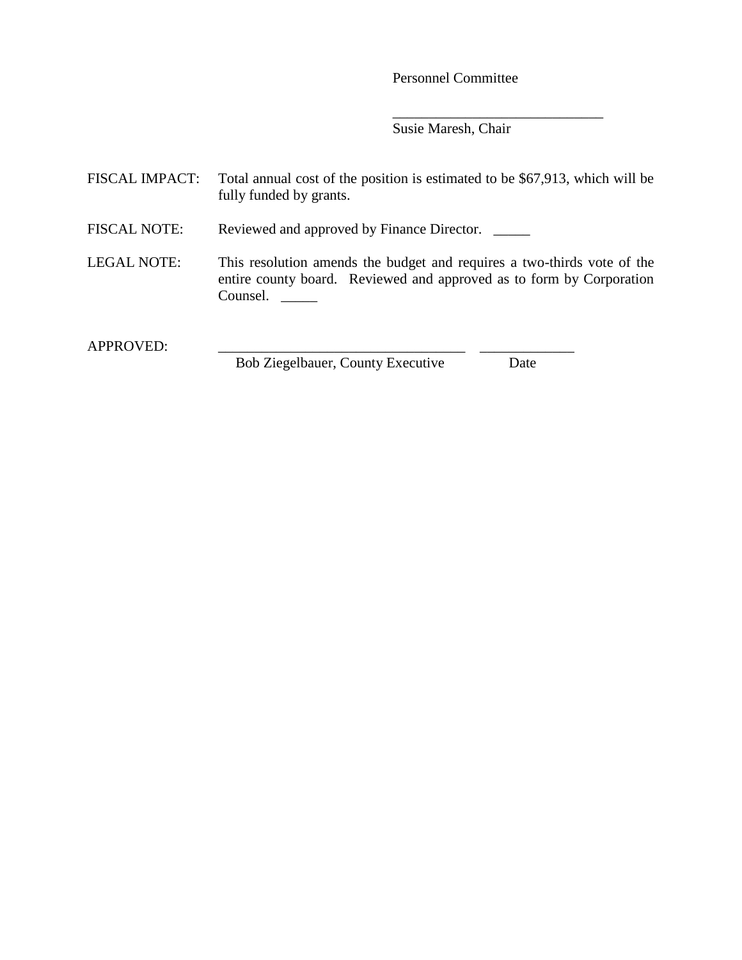Personnel Committee

\_\_\_\_\_\_\_\_\_\_\_\_\_\_\_\_\_\_\_\_\_\_\_\_\_\_\_\_\_

Susie Maresh, Chair

| <b>FISCAL IMPACT:</b> | Total annual cost of the position is estimated to be \$67,913, which will be<br>fully funded by grants.                                                     |
|-----------------------|-------------------------------------------------------------------------------------------------------------------------------------------------------------|
| <b>FISCAL NOTE:</b>   | Reviewed and approved by Finance Director.                                                                                                                  |
| <b>LEGAL NOTE:</b>    | This resolution amends the budget and requires a two-thirds vote of the<br>entire county board. Reviewed and approved as to form by Corporation<br>Counsel. |
| <b>APPROVED:</b>      |                                                                                                                                                             |

Bob Ziegelbauer, County Executive Date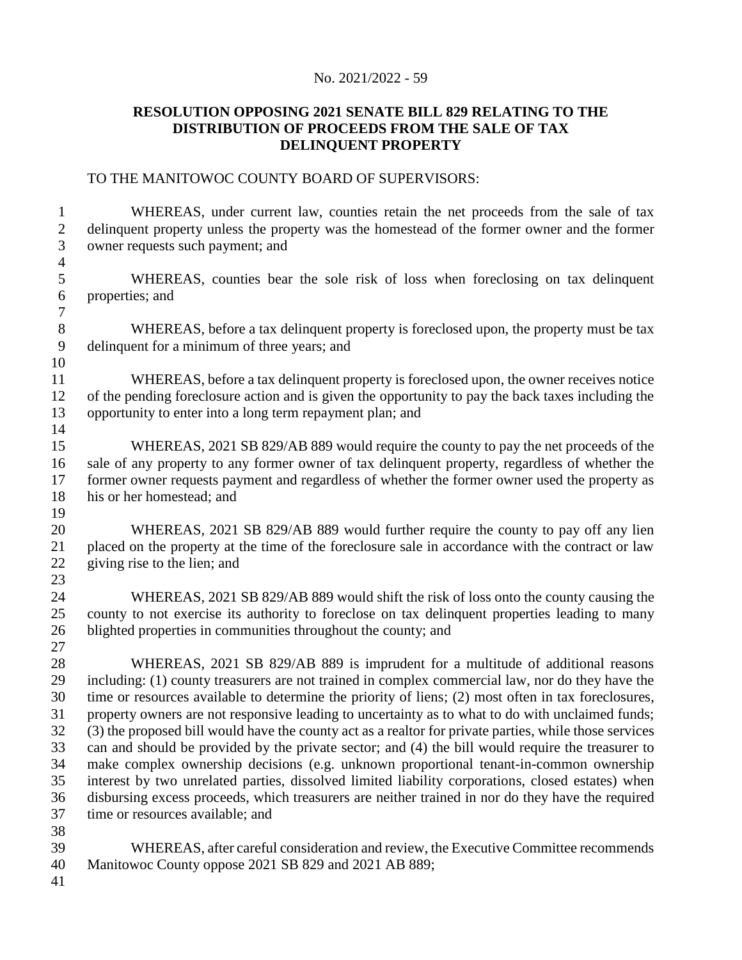### **RESOLUTION OPPOSING 2021 SENATE BILL 829 RELATING TO THE DISTRIBUTION OF PROCEEDS FROM THE SALE OF TAX DELINQUENT PROPERTY**

#### TO THE MANITOWOC COUNTY BOARD OF SUPERVISORS:

 WHEREAS, under current law, counties retain the net proceeds from the sale of tax delinquent property unless the property was the homestead of the former owner and the former owner requests such payment; and WHEREAS, counties bear the sole risk of loss when foreclosing on tax delinquent properties; and WHEREAS, before a tax delinquent property is foreclosed upon, the property must be tax delinquent for a minimum of three years; and WHEREAS, before a tax delinquent property is foreclosed upon, the owner receives notice of the pending foreclosure action and is given the opportunity to pay the back taxes including the opportunity to enter into a long term repayment plan; and WHEREAS, 2021 SB 829/AB 889 would require the county to pay the net proceeds of the sale of any property to any former owner of tax delinquent property, regardless of whether the former owner requests payment and regardless of whether the former owner used the property as his or her homestead; and WHEREAS, 2021 SB 829/AB 889 would further require the county to pay off any lien placed on the property at the time of the foreclosure sale in accordance with the contract or law giving rise to the lien; and WHEREAS, 2021 SB 829/AB 889 would shift the risk of loss onto the county causing the county to not exercise its authority to foreclose on tax delinquent properties leading to many blighted properties in communities throughout the county; and WHEREAS, 2021 SB 829/AB 889 is imprudent for a multitude of additional reasons including: (1) county treasurers are not trained in complex commercial law, nor do they have the time or resources available to determine the priority of liens; (2) most often in tax foreclosures, property owners are not responsive leading to uncertainty as to what to do with unclaimed funds; (3) the proposed bill would have the county act as a realtor for private parties, while those services can and should be provided by the private sector; and (4) the bill would require the treasurer to make complex ownership decisions (e.g. unknown proportional tenant-in-common ownership interest by two unrelated parties, dissolved limited liability corporations, closed estates) when disbursing excess proceeds, which treasurers are neither trained in nor do they have the required time or resources available; and WHEREAS, after careful consideration and review, the Executive Committee recommends Manitowoc County oppose 2021 SB 829 and 2021 AB 889;